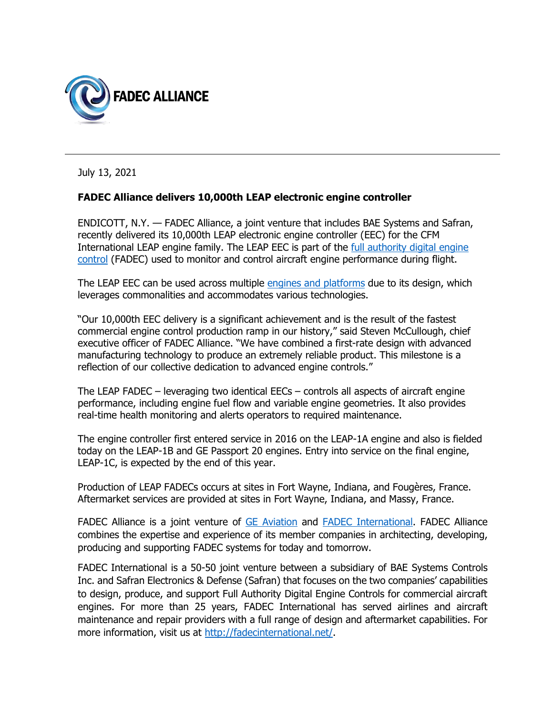

July 13, 2021

## **FADEC Alliance delivers 10,000th LEAP electronic engine controller**

ENDICOTT, N.Y. — FADEC Alliance, a joint venture that includes BAE Systems and Safran, recently delivered its 10,000th LEAP electronic engine controller (EEC) for the CFM International LEAP engine family. The LEAP EEC is part of the [full authority digital engine](https://www.baesystems.com/en-us/product/engine-controls)  [control](https://www.baesystems.com/en-us/product/engine-controls) (FADEC) used to monitor and control aircraft engine performance during flight.

The LEAP EEC can be used across multiple [engines and platforms](https://baesystems-ps.com/fadec.php#leap) due to its design, which leverages commonalities and accommodates various technologies.

"Our 10,000th EEC delivery is a significant achievement and is the result of the fastest commercial engine control production ramp in our history," said Steven McCullough, chief executive officer of FADEC Alliance. "We have combined a first-rate design with advanced manufacturing technology to produce an extremely reliable product. This milestone is a reflection of our collective dedication to advanced engine controls."

The LEAP FADEC – leveraging two identical EECs – controls all aspects of aircraft engine performance, including engine fuel flow and variable engine geometries. It also provides real-time health monitoring and alerts operators to required maintenance.

The engine controller first entered service in 2016 on the LEAP-1A engine and also is fielded today on the LEAP-1B and GE Passport 20 engines. Entry into service on the final engine, LEAP-1C, is expected by the end of this year.

Production of LEAP FADECs occurs at sites in Fort Wayne, Indiana, and Fougères, France. Aftermarket services are provided at sites in Fort Wayne, Indiana, and Massy, France.

FADEC Alliance is a joint venture of [GE Aviation](https://www.geaviation.com/) and [FADEC International.](http://fadecinternational.net/) FADEC Alliance combines the expertise and experience of its member companies in architecting, developing, producing and supporting FADEC systems for today and tomorrow.

FADEC International is a 50-50 joint venture between a subsidiary of BAE Systems Controls Inc. and Safran Electronics & Defense (Safran) that focuses on the two companies' capabilities to design, produce, and support Full Authority Digital Engine Controls for commercial aircraft engines. For more than 25 years, FADEC International has served airlines and aircraft maintenance and repair providers with a full range of design and aftermarket capabilities. For more information, visit us at [http://fadecinternational.net/.](http://fadecinternational.net/)